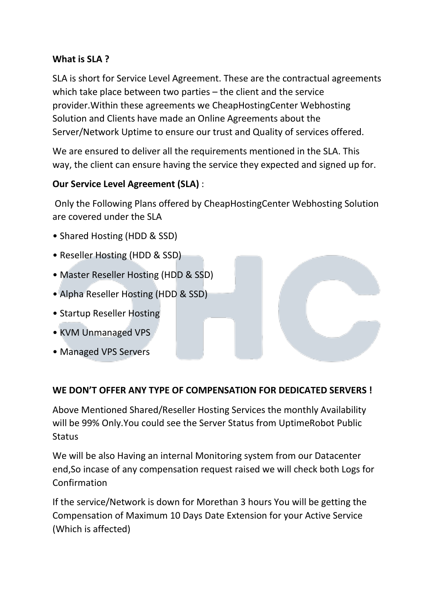### **What is SLA ?**

SLA is short for Service Level Agreement. These are the contractual agreements which take place between two parties – the client and the service provider.Within these agreements we CheapHostingCenter Webhosting Solution and Clients have made an Online Agreements about the Server/Network Uptime to ensure our trust and Quality of services offered.

We are ensured to deliver all the requirements mentioned in the SLA. This way, the client can ensure having the service they expected and signed up for.

## **Our Service Level Agreement (SLA)** :

Only the Following Plans offered by CheapHostingCenter Webhosting Solution are covered under the SLA

- Shared Hosting (HDD & SSD)
- Reseller Hosting (HDD & SSD)
- Master Reseller Hosting (HDD & SSD)
- Alpha Reseller Hosting (HDD & SSD)
- Startup Reseller Hosting
- KVM Unmanaged VPS
- Managed VPS Servers

## **WE DON'T OFFER ANY TYPE OF COMPENSATION FOR DEDICATED SERVERS !**

Above Mentioned Shared/Reseller Hosting Services the monthly Availability will be 99% Only.You could see the Server Status from UptimeRobot Public **Status** 

We will be also Having an internal Monitoring system from our Datacenter end,So incase of any compensation request raised we will check both Logs for Confirmation

If the service/Network is down for Morethan 3 hours You will be getting the Compensation of Maximum 10 Days Date Extension for your Active Service (Which is affected)